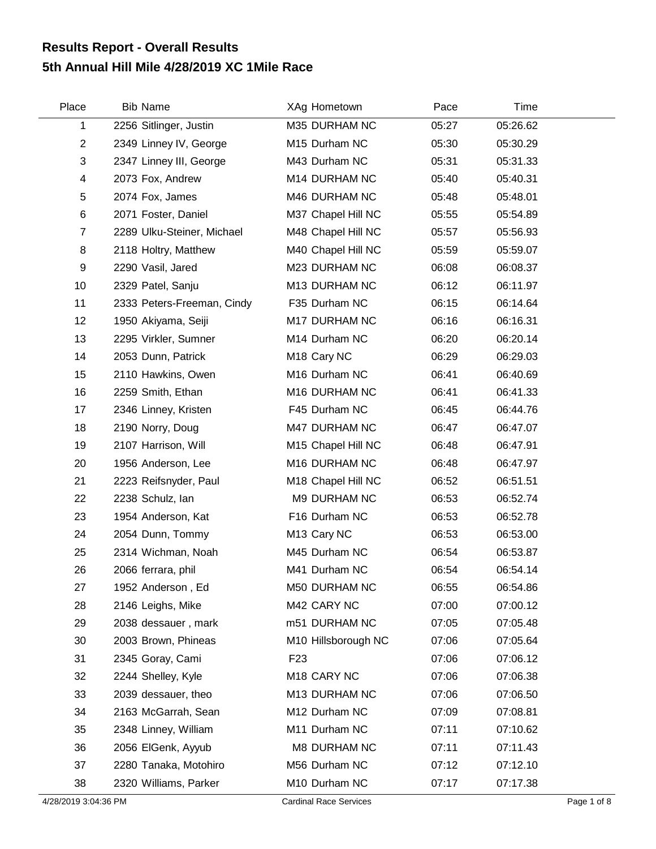## **5th Annual Hill Mile 4/28/2019 XC 1Mile Race Results Report - Overall Results**

| Place          | <b>Bib Name</b>            | XAg Hometown            | Pace  | Time     |
|----------------|----------------------------|-------------------------|-------|----------|
| 1              | 2256 Sitlinger, Justin     | M35 DURHAM NC           | 05:27 | 05:26.62 |
| $\overline{2}$ | 2349 Linney IV, George     | M15 Durham NC           | 05:30 | 05:30.29 |
| 3              | 2347 Linney III, George    | M43 Durham NC           | 05:31 | 05:31.33 |
| 4              | 2073 Fox, Andrew           | M14 DURHAM NC           | 05:40 | 05:40.31 |
| 5              | 2074 Fox, James            | M46 DURHAM NC           | 05:48 | 05:48.01 |
| 6              | 2071 Foster, Daniel        | M37 Chapel Hill NC      | 05:55 | 05:54.89 |
| $\overline{7}$ | 2289 Ulku-Steiner, Michael | M48 Chapel Hill NC      | 05:57 | 05:56.93 |
| 8              | 2118 Holtry, Matthew       | M40 Chapel Hill NC      | 05:59 | 05:59.07 |
| 9              | 2290 Vasil, Jared          | M23 DURHAM NC           | 06:08 | 06:08.37 |
| 10             | 2329 Patel, Sanju          | M13 DURHAM NC           | 06:12 | 06:11.97 |
| 11             | 2333 Peters-Freeman, Cindy | F35 Durham NC           | 06:15 | 06:14.64 |
| 12             | 1950 Akiyama, Seiji        | M17 DURHAM NC           | 06:16 | 06:16.31 |
| 13             | 2295 Virkler, Sumner       | M14 Durham NC           | 06:20 | 06:20.14 |
| 14             | 2053 Dunn, Patrick         | M <sub>18</sub> Cary NC | 06:29 | 06:29.03 |
| 15             | 2110 Hawkins, Owen         | M16 Durham NC           | 06:41 | 06:40.69 |
| 16             | 2259 Smith, Ethan          | M16 DURHAM NC           | 06:41 | 06:41.33 |
| 17             | 2346 Linney, Kristen       | F45 Durham NC           | 06:45 | 06:44.76 |
| 18             | 2190 Norry, Doug           | M47 DURHAM NC           | 06:47 | 06:47.07 |
| 19             | 2107 Harrison, Will        | M15 Chapel Hill NC      | 06:48 | 06:47.91 |
| 20             | 1956 Anderson, Lee         | M16 DURHAM NC           | 06:48 | 06:47.97 |
| 21             | 2223 Reifsnyder, Paul      | M18 Chapel Hill NC      | 06:52 | 06:51.51 |
| 22             | 2238 Schulz, Ian           | M9 DURHAM NC            | 06:53 | 06:52.74 |
| 23             | 1954 Anderson, Kat         | F16 Durham NC           | 06:53 | 06:52.78 |
| 24             | 2054 Dunn, Tommy           | M <sub>13</sub> Cary NC | 06:53 | 06:53.00 |
| 25             | 2314 Wichman, Noah         | M45 Durham NC           | 06:54 | 06:53.87 |
| 26             | 2066 ferrara, phil         | M41 Durham NC           | 06:54 | 06:54.14 |
| 27             | 1952 Anderson, Ed          | M50 DURHAM NC           | 06:55 | 06:54.86 |
| 28             | 2146 Leighs, Mike          | M42 CARY NC             | 07:00 | 07:00.12 |
| 29             | 2038 dessauer, mark        | m51 DURHAM NC           | 07:05 | 07:05.48 |
| 30             | 2003 Brown, Phineas        | M10 Hillsborough NC     | 07:06 | 07:05.64 |
| 31             | 2345 Goray, Cami           | F <sub>23</sub>         | 07:06 | 07:06.12 |
| 32             | 2244 Shelley, Kyle         | M18 CARY NC             | 07:06 | 07:06.38 |
| 33             | 2039 dessauer, theo        | M13 DURHAM NC           | 07:06 | 07:06.50 |
| 34             | 2163 McGarrah, Sean        | M12 Durham NC           | 07:09 | 07:08.81 |
| 35             | 2348 Linney, William       | M11 Durham NC           | 07:11 | 07:10.62 |
| 36             | 2056 ElGenk, Ayyub         | M8 DURHAM NC            | 07:11 | 07:11.43 |
| 37             | 2280 Tanaka, Motohiro      | M56 Durham NC           | 07:12 | 07:12.10 |
| 38             | 2320 Williams, Parker      | M10 Durham NC           | 07:17 | 07:17.38 |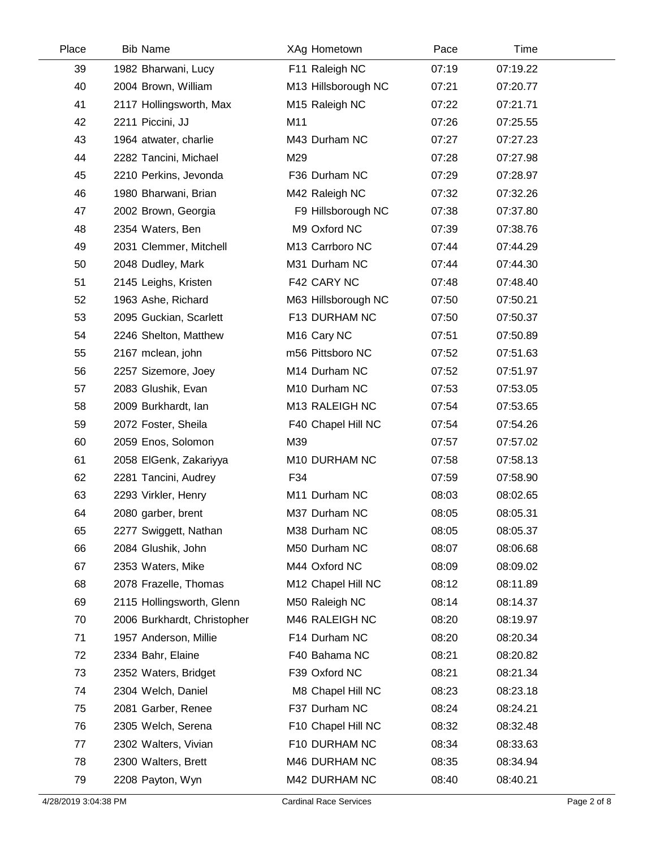| Place | <b>Bib Name</b>             | XAg Hometown              | Pace  | Time     |  |
|-------|-----------------------------|---------------------------|-------|----------|--|
| 39    | 1982 Bharwani, Lucy         | F11 Raleigh NC            | 07:19 | 07:19.22 |  |
| 40    | 2004 Brown, William         | M13 Hillsborough NC       | 07:21 | 07:20.77 |  |
| 41    | 2117 Hollingsworth, Max     | M15 Raleigh NC            | 07:22 | 07:21.71 |  |
| 42    | 2211 Piccini, JJ            | M11                       | 07:26 | 07:25.55 |  |
| 43    | 1964 atwater, charlie       | M43 Durham NC             | 07:27 | 07:27.23 |  |
| 44    | 2282 Tancini, Michael       | M29                       | 07:28 | 07:27.98 |  |
| 45    | 2210 Perkins, Jevonda       | F36 Durham NC             | 07:29 | 07:28.97 |  |
| 46    | 1980 Bharwani, Brian        | M42 Raleigh NC            | 07:32 | 07:32.26 |  |
| 47    | 2002 Brown, Georgia         | F9 Hillsborough NC        | 07:38 | 07:37.80 |  |
| 48    | 2354 Waters, Ben            | M9 Oxford NC              | 07:39 | 07:38.76 |  |
| 49    | 2031 Clemmer, Mitchell      | M13 Carrboro NC           | 07:44 | 07:44.29 |  |
| 50    | 2048 Dudley, Mark           | M31 Durham NC             | 07:44 | 07:44.30 |  |
| 51    | 2145 Leighs, Kristen        | F42 CARY NC               | 07:48 | 07:48.40 |  |
| 52    | 1963 Ashe, Richard          | M63 Hillsborough NC       | 07:50 | 07:50.21 |  |
| 53    | 2095 Guckian, Scarlett      | F13 DURHAM NC             | 07:50 | 07:50.37 |  |
| 54    | 2246 Shelton, Matthew       | M <sub>16</sub> Cary NC   | 07:51 | 07:50.89 |  |
| 55    | 2167 mclean, john           | m56 Pittsboro NC          | 07:52 | 07:51.63 |  |
| 56    | 2257 Sizemore, Joey         | M <sub>14</sub> Durham NC | 07:52 | 07:51.97 |  |
| 57    | 2083 Glushik, Evan          | M10 Durham NC             | 07:53 | 07:53.05 |  |
| 58    | 2009 Burkhardt, Ian         | M13 RALEIGH NC            | 07:54 | 07:53.65 |  |
| 59    | 2072 Foster, Sheila         | F40 Chapel Hill NC        | 07:54 | 07:54.26 |  |
| 60    | 2059 Enos, Solomon          | M39                       | 07:57 | 07:57.02 |  |
| 61    | 2058 ElGenk, Zakariyya      | M10 DURHAM NC             | 07:58 | 07:58.13 |  |
| 62    | 2281 Tancini, Audrey        | F34                       | 07:59 | 07:58.90 |  |
| 63    | 2293 Virkler, Henry         | M11 Durham NC             | 08:03 | 08:02.65 |  |
| 64    | 2080 garber, brent          | M37 Durham NC             | 08:05 | 08:05.31 |  |
| 65    | 2277 Swiggett, Nathan       | M38 Durham NC             | 08:05 | 08:05.37 |  |
| 66    | 2084 Glushik, John          | M50 Durham NC             | 08:07 | 08:06.68 |  |
| 67    | 2353 Waters, Mike           | M44 Oxford NC             | 08:09 | 08:09.02 |  |
| 68    | 2078 Frazelle, Thomas       | M12 Chapel Hill NC        | 08:12 | 08:11.89 |  |
| 69    | 2115 Hollingsworth, Glenn   | M50 Raleigh NC            | 08:14 | 08:14.37 |  |
| 70    | 2006 Burkhardt, Christopher | M46 RALEIGH NC            | 08:20 | 08:19.97 |  |
| 71    | 1957 Anderson, Millie       | F14 Durham NC             | 08:20 | 08:20.34 |  |
| 72    | 2334 Bahr, Elaine           | F40 Bahama NC             | 08:21 | 08:20.82 |  |
| 73    | 2352 Waters, Bridget        | F39 Oxford NC             | 08:21 | 08:21.34 |  |
| 74    | 2304 Welch, Daniel          | M8 Chapel Hill NC         | 08:23 | 08:23.18 |  |
| 75    | 2081 Garber, Renee          | F37 Durham NC             | 08:24 | 08:24.21 |  |
| 76    | 2305 Welch, Serena          | F10 Chapel Hill NC        | 08:32 | 08:32.48 |  |
| 77    | 2302 Walters, Vivian        | F10 DURHAM NC             | 08:34 | 08:33.63 |  |
| 78    | 2300 Walters, Brett         | M46 DURHAM NC             | 08:35 | 08:34.94 |  |
| 79    | 2208 Payton, Wyn            | M42 DURHAM NC             | 08:40 | 08:40.21 |  |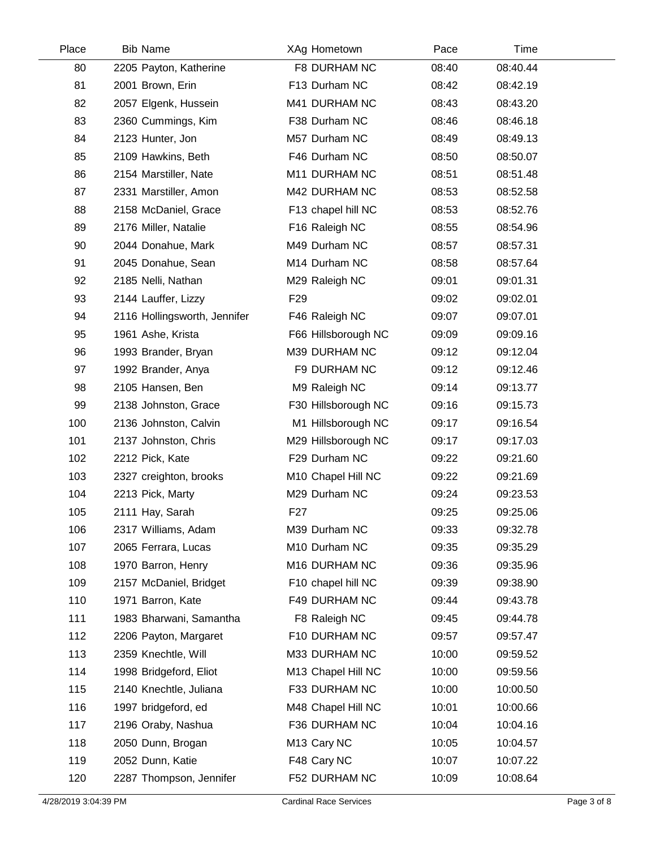| Place | <b>Bib Name</b>              | XAg Hometown            | Pace  | Time     |  |
|-------|------------------------------|-------------------------|-------|----------|--|
| 80    | 2205 Payton, Katherine       | F8 DURHAM NC            | 08:40 | 08:40.44 |  |
| 81    | 2001 Brown, Erin             | F13 Durham NC           | 08:42 | 08:42.19 |  |
| 82    | 2057 Elgenk, Hussein         | M41 DURHAM NC           | 08:43 | 08:43.20 |  |
| 83    | 2360 Cummings, Kim           | F38 Durham NC           | 08:46 | 08:46.18 |  |
| 84    | 2123 Hunter, Jon             | M57 Durham NC           | 08:49 | 08:49.13 |  |
| 85    | 2109 Hawkins, Beth           | F46 Durham NC           | 08:50 | 08:50.07 |  |
| 86    | 2154 Marstiller, Nate        | M11 DURHAM NC           | 08:51 | 08:51.48 |  |
| 87    | 2331 Marstiller, Amon        | M42 DURHAM NC           | 08:53 | 08:52.58 |  |
| 88    | 2158 McDaniel, Grace         | F13 chapel hill NC      | 08:53 | 08:52.76 |  |
| 89    | 2176 Miller, Natalie         | F16 Raleigh NC          | 08:55 | 08:54.96 |  |
| 90    | 2044 Donahue, Mark           | M49 Durham NC           | 08:57 | 08:57.31 |  |
| 91    | 2045 Donahue, Sean           | M14 Durham NC           | 08:58 | 08:57.64 |  |
| 92    | 2185 Nelli, Nathan           | M29 Raleigh NC          | 09:01 | 09:01.31 |  |
| 93    | 2144 Lauffer, Lizzy          | F <sub>29</sub>         | 09:02 | 09:02.01 |  |
| 94    | 2116 Hollingsworth, Jennifer | F46 Raleigh NC          | 09:07 | 09:07.01 |  |
| 95    | 1961 Ashe, Krista            | F66 Hillsborough NC     | 09:09 | 09:09.16 |  |
| 96    | 1993 Brander, Bryan          | M39 DURHAM NC           | 09:12 | 09:12.04 |  |
| 97    | 1992 Brander, Anya           | F9 DURHAM NC            | 09:12 | 09:12.46 |  |
| 98    | 2105 Hansen, Ben             | M9 Raleigh NC           | 09:14 | 09:13.77 |  |
| 99    | 2138 Johnston, Grace         | F30 Hillsborough NC     | 09:16 | 09:15.73 |  |
| 100   | 2136 Johnston, Calvin        | M1 Hillsborough NC      | 09:17 | 09:16.54 |  |
| 101   | 2137 Johnston, Chris         | M29 Hillsborough NC     | 09:17 | 09:17.03 |  |
| 102   | 2212 Pick, Kate              | F29 Durham NC           | 09:22 | 09:21.60 |  |
| 103   | 2327 creighton, brooks       | M10 Chapel Hill NC      | 09:22 | 09:21.69 |  |
| 104   | 2213 Pick, Marty             | M29 Durham NC           | 09:24 | 09:23.53 |  |
| 105   | 2111 Hay, Sarah              | F <sub>27</sub>         | 09:25 | 09:25.06 |  |
| 106   | 2317 Williams, Adam          | M39 Durham NC           | 09:33 | 09:32.78 |  |
| 107   | 2065 Ferrara, Lucas          | M10 Durham NC           | 09:35 | 09:35.29 |  |
| 108   | 1970 Barron, Henry           | M16 DURHAM NC           | 09:36 | 09:35.96 |  |
| 109   | 2157 McDaniel, Bridget       | F10 chapel hill NC      | 09:39 | 09:38.90 |  |
| 110   | 1971 Barron, Kate            | F49 DURHAM NC           | 09:44 | 09:43.78 |  |
| 111   | 1983 Bharwani, Samantha      | F8 Raleigh NC           | 09:45 | 09:44.78 |  |
| 112   | 2206 Payton, Margaret        | F10 DURHAM NC           | 09:57 | 09:57.47 |  |
| 113   | 2359 Knechtle, Will          | M33 DURHAM NC           | 10:00 | 09:59.52 |  |
| 114   | 1998 Bridgeford, Eliot       | M13 Chapel Hill NC      | 10:00 | 09:59.56 |  |
| 115   | 2140 Knechtle, Juliana       | F33 DURHAM NC           | 10:00 | 10:00.50 |  |
| 116   | 1997 bridgeford, ed          | M48 Chapel Hill NC      | 10:01 | 10:00.66 |  |
| 117   | 2196 Oraby, Nashua           | F36 DURHAM NC           | 10:04 | 10:04.16 |  |
| 118   | 2050 Dunn, Brogan            | M <sub>13</sub> Cary NC | 10:05 | 10:04.57 |  |
| 119   | 2052 Dunn, Katie             | F48 Cary NC             | 10:07 | 10:07.22 |  |
| 120   | 2287 Thompson, Jennifer      | F52 DURHAM NC           | 10:09 | 10:08.64 |  |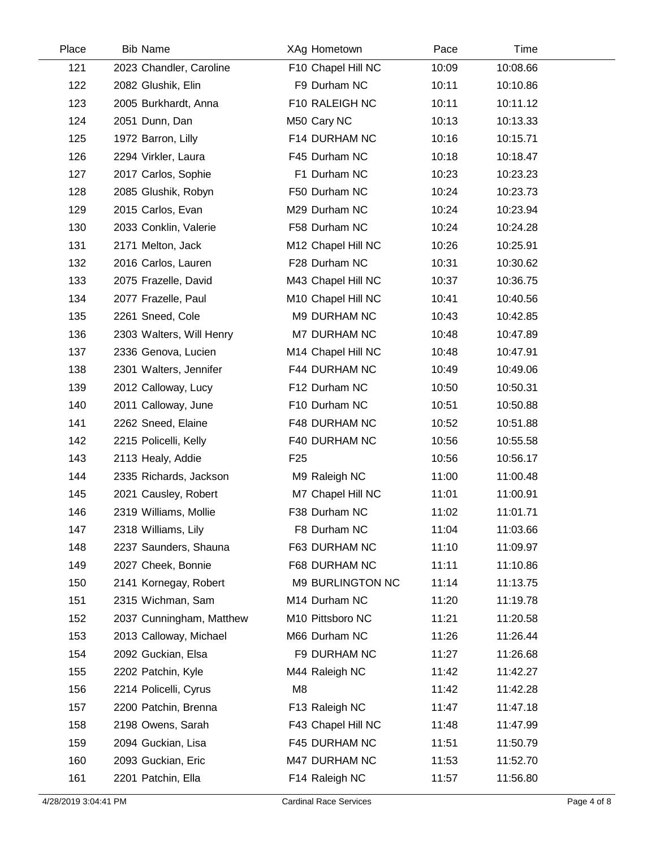| Place | <b>Bib Name</b>          | XAg Hometown        | Pace  | Time     |  |
|-------|--------------------------|---------------------|-------|----------|--|
| 121   | 2023 Chandler, Caroline  | F10 Chapel Hill NC  | 10:09 | 10:08.66 |  |
| 122   | 2082 Glushik, Elin       | F9 Durham NC        | 10:11 | 10:10.86 |  |
| 123   | 2005 Burkhardt, Anna     | F10 RALEIGH NC      | 10:11 | 10:11.12 |  |
| 124   | 2051 Dunn, Dan           | M50 Cary NC         | 10:13 | 10:13.33 |  |
| 125   | 1972 Barron, Lilly       | F14 DURHAM NC       | 10:16 | 10:15.71 |  |
| 126   | 2294 Virkler, Laura      | F45 Durham NC       | 10:18 | 10:18.47 |  |
| 127   | 2017 Carlos, Sophie      | F1 Durham NC        | 10:23 | 10:23.23 |  |
| 128   | 2085 Glushik, Robyn      | F50 Durham NC       | 10:24 | 10:23.73 |  |
| 129   | 2015 Carlos, Evan        | M29 Durham NC       | 10:24 | 10:23.94 |  |
| 130   | 2033 Conklin, Valerie    | F58 Durham NC       | 10:24 | 10:24.28 |  |
| 131   | 2171 Melton, Jack        | M12 Chapel Hill NC  | 10:26 | 10:25.91 |  |
| 132   | 2016 Carlos, Lauren      | F28 Durham NC       | 10:31 | 10:30.62 |  |
| 133   | 2075 Frazelle, David     | M43 Chapel Hill NC  | 10:37 | 10:36.75 |  |
| 134   | 2077 Frazelle, Paul      | M10 Chapel Hill NC  | 10:41 | 10:40.56 |  |
| 135   | 2261 Sneed, Cole         | M9 DURHAM NC        | 10:43 | 10:42.85 |  |
| 136   | 2303 Walters, Will Henry | <b>M7 DURHAM NC</b> | 10:48 | 10:47.89 |  |
| 137   | 2336 Genova, Lucien      | M14 Chapel Hill NC  | 10:48 | 10:47.91 |  |
| 138   | 2301 Walters, Jennifer   | F44 DURHAM NC       | 10:49 | 10:49.06 |  |
| 139   | 2012 Calloway, Lucy      | F12 Durham NC       | 10:50 | 10:50.31 |  |
| 140   | 2011 Calloway, June      | F10 Durham NC       | 10:51 | 10:50.88 |  |
| 141   | 2262 Sneed, Elaine       | F48 DURHAM NC       | 10:52 | 10:51.88 |  |
| 142   | 2215 Policelli, Kelly    | F40 DURHAM NC       | 10:56 | 10:55.58 |  |
| 143   | 2113 Healy, Addie        | F <sub>25</sub>     | 10:56 | 10:56.17 |  |
| 144   | 2335 Richards, Jackson   | M9 Raleigh NC       | 11:00 | 11:00.48 |  |
| 145   | 2021 Causley, Robert     | M7 Chapel Hill NC   | 11:01 | 11:00.91 |  |
| 146   | 2319 Williams, Mollie    | F38 Durham NC       | 11:02 | 11:01.71 |  |
| 147   | 2318 Williams, Lily      | F8 Durham NC        | 11:04 | 11:03.66 |  |
| 148   | 2237 Saunders, Shauna    | F63 DURHAM NC       | 11:10 | 11:09.97 |  |
| 149   | 2027 Cheek, Bonnie       | F68 DURHAM NC       | 11:11 | 11:10.86 |  |
| 150   | 2141 Kornegay, Robert    | M9 BURLINGTON NC    | 11:14 | 11:13.75 |  |
| 151   | 2315 Wichman, Sam        | M14 Durham NC       | 11:20 | 11:19.78 |  |
| 152   | 2037 Cunningham, Matthew | M10 Pittsboro NC    | 11:21 | 11:20.58 |  |
| 153   | 2013 Calloway, Michael   | M66 Durham NC       | 11:26 | 11:26.44 |  |
| 154   | 2092 Guckian, Elsa       | F9 DURHAM NC        | 11:27 | 11:26.68 |  |
| 155   | 2202 Patchin, Kyle       | M44 Raleigh NC      | 11:42 | 11:42.27 |  |
| 156   | 2214 Policelli, Cyrus    | M8                  | 11:42 | 11:42.28 |  |
| 157   | 2200 Patchin, Brenna     | F13 Raleigh NC      | 11:47 | 11:47.18 |  |
| 158   | 2198 Owens, Sarah        | F43 Chapel Hill NC  | 11:48 | 11:47.99 |  |
| 159   | 2094 Guckian, Lisa       | F45 DURHAM NC       | 11:51 | 11:50.79 |  |
| 160   | 2093 Guckian, Eric       | M47 DURHAM NC       | 11:53 | 11:52.70 |  |
| 161   | 2201 Patchin, Ella       | F14 Raleigh NC      | 11:57 | 11:56.80 |  |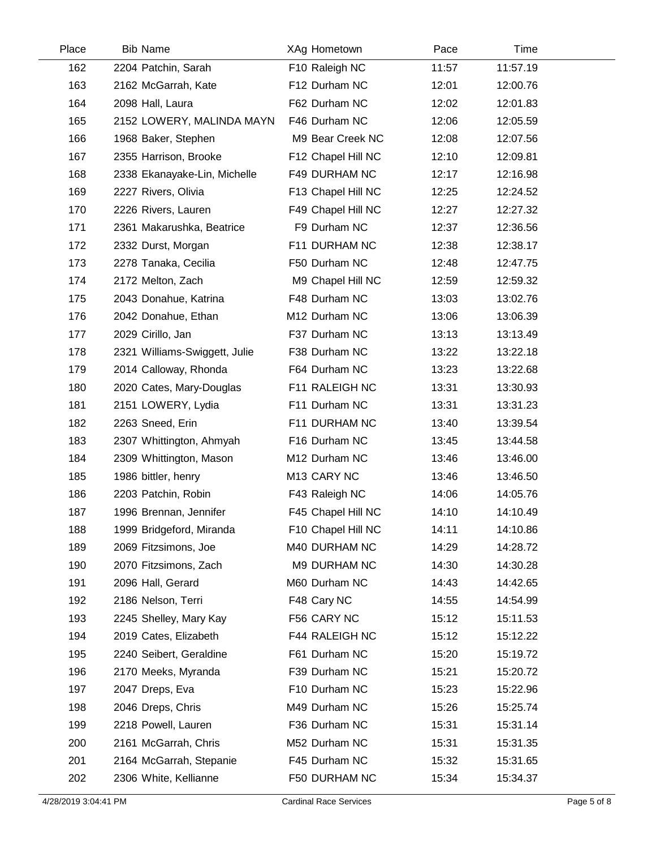| Place | <b>Bib Name</b>               | XAg Hometown       | Pace  | Time     |  |
|-------|-------------------------------|--------------------|-------|----------|--|
| 162   | 2204 Patchin, Sarah           | F10 Raleigh NC     | 11:57 | 11:57.19 |  |
| 163   | 2162 McGarrah, Kate           | F12 Durham NC      | 12:01 | 12:00.76 |  |
| 164   | 2098 Hall, Laura              | F62 Durham NC      | 12:02 | 12:01.83 |  |
| 165   | 2152 LOWERY, MALINDA MAYN     | F46 Durham NC      | 12:06 | 12:05.59 |  |
| 166   | 1968 Baker, Stephen           | M9 Bear Creek NC   | 12:08 | 12:07.56 |  |
| 167   | 2355 Harrison, Brooke         | F12 Chapel Hill NC | 12:10 | 12:09.81 |  |
| 168   | 2338 Ekanayake-Lin, Michelle  | F49 DURHAM NC      | 12:17 | 12:16.98 |  |
| 169   | 2227 Rivers, Olivia           | F13 Chapel Hill NC | 12:25 | 12:24.52 |  |
| 170   | 2226 Rivers, Lauren           | F49 Chapel Hill NC | 12:27 | 12:27.32 |  |
| 171   | 2361 Makarushka, Beatrice     | F9 Durham NC       | 12:37 | 12:36.56 |  |
| 172   | 2332 Durst, Morgan            | F11 DURHAM NC      | 12:38 | 12:38.17 |  |
| 173   | 2278 Tanaka, Cecilia          | F50 Durham NC      | 12:48 | 12:47.75 |  |
| 174   | 2172 Melton, Zach             | M9 Chapel Hill NC  | 12:59 | 12:59.32 |  |
| 175   | 2043 Donahue, Katrina         | F48 Durham NC      | 13:03 | 13:02.76 |  |
| 176   | 2042 Donahue, Ethan           | M12 Durham NC      | 13:06 | 13:06.39 |  |
| 177   | 2029 Cirillo, Jan             | F37 Durham NC      | 13:13 | 13:13.49 |  |
| 178   | 2321 Williams-Swiggett, Julie | F38 Durham NC      | 13:22 | 13:22.18 |  |
| 179   | 2014 Calloway, Rhonda         | F64 Durham NC      | 13:23 | 13:22.68 |  |
| 180   | 2020 Cates, Mary-Douglas      | F11 RALEIGH NC     | 13:31 | 13:30.93 |  |
| 181   | 2151 LOWERY, Lydia            | F11 Durham NC      | 13:31 | 13:31.23 |  |
| 182   | 2263 Sneed, Erin              | F11 DURHAM NC      | 13:40 | 13:39.54 |  |
| 183   | 2307 Whittington, Ahmyah      | F16 Durham NC      | 13:45 | 13:44.58 |  |
| 184   | 2309 Whittington, Mason       | M12 Durham NC      | 13:46 | 13:46.00 |  |
| 185   | 1986 bittler, henry           | M13 CARY NC        | 13:46 | 13:46.50 |  |
| 186   | 2203 Patchin, Robin           | F43 Raleigh NC     | 14:06 | 14:05.76 |  |
| 187   | 1996 Brennan, Jennifer        | F45 Chapel Hill NC | 14:10 | 14:10.49 |  |
| 188   | 1999 Bridgeford, Miranda      | F10 Chapel Hill NC | 14:11 | 14:10.86 |  |
| 189   | 2069 Fitzsimons, Joe          | M40 DURHAM NC      | 14:29 | 14:28.72 |  |
| 190   | 2070 Fitzsimons, Zach         | M9 DURHAM NC       | 14:30 | 14:30.28 |  |
| 191   | 2096 Hall, Gerard             | M60 Durham NC      | 14:43 | 14:42.65 |  |
| 192   | 2186 Nelson, Terri            | F48 Cary NC        | 14:55 | 14:54.99 |  |
| 193   | 2245 Shelley, Mary Kay        | F56 CARY NC        | 15:12 | 15:11.53 |  |
| 194   | 2019 Cates, Elizabeth         | F44 RALEIGH NC     | 15:12 | 15:12.22 |  |
| 195   | 2240 Seibert, Geraldine       | F61 Durham NC      | 15:20 | 15:19.72 |  |
| 196   | 2170 Meeks, Myranda           | F39 Durham NC      | 15:21 | 15:20.72 |  |
| 197   | 2047 Dreps, Eva               | F10 Durham NC      | 15:23 | 15:22.96 |  |
| 198   | 2046 Dreps, Chris             | M49 Durham NC      | 15:26 | 15:25.74 |  |
| 199   | 2218 Powell, Lauren           | F36 Durham NC      | 15:31 | 15:31.14 |  |
| 200   | 2161 McGarrah, Chris          | M52 Durham NC      | 15:31 | 15:31.35 |  |
| 201   | 2164 McGarrah, Stepanie       | F45 Durham NC      | 15:32 | 15:31.65 |  |
| 202   | 2306 White, Kellianne         | F50 DURHAM NC      | 15:34 | 15:34.37 |  |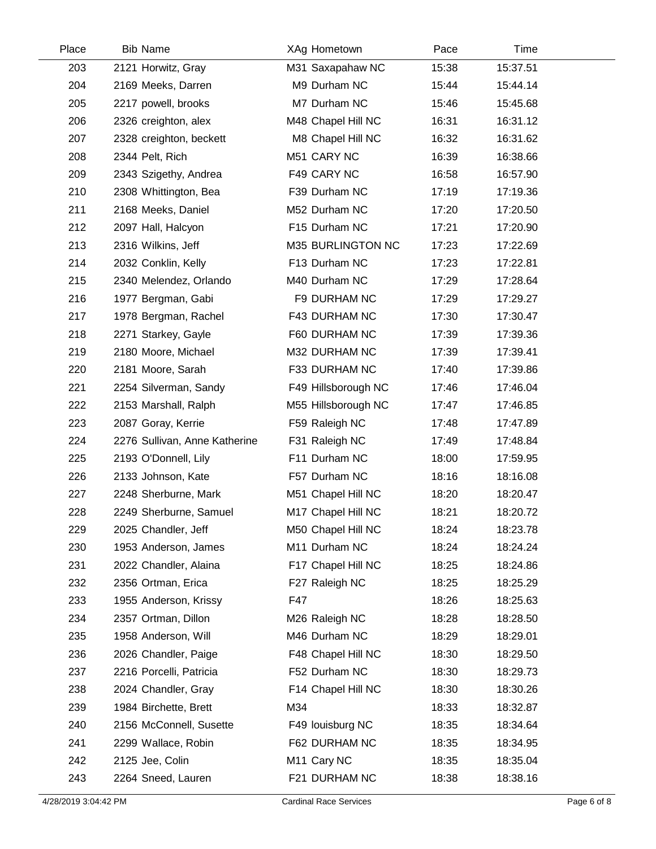| Place | <b>Bib Name</b>               | XAg Hometown            | Pace  | Time     |  |
|-------|-------------------------------|-------------------------|-------|----------|--|
| 203   | 2121 Horwitz, Gray            | M31 Saxapahaw NC        | 15:38 | 15:37.51 |  |
| 204   | 2169 Meeks, Darren            | M9 Durham NC            | 15:44 | 15:44.14 |  |
| 205   | 2217 powell, brooks           | M7 Durham NC            | 15:46 | 15:45.68 |  |
| 206   | 2326 creighton, alex          | M48 Chapel Hill NC      | 16:31 | 16:31.12 |  |
| 207   | 2328 creighton, beckett       | M8 Chapel Hill NC       | 16:32 | 16:31.62 |  |
| 208   | 2344 Pelt, Rich               | M51 CARY NC             | 16:39 | 16:38.66 |  |
| 209   | 2343 Szigethy, Andrea         | F49 CARY NC             | 16:58 | 16:57.90 |  |
| 210   | 2308 Whittington, Bea         | F39 Durham NC           | 17:19 | 17:19.36 |  |
| 211   | 2168 Meeks, Daniel            | M52 Durham NC           | 17:20 | 17:20.50 |  |
| 212   | 2097 Hall, Halcyon            | F15 Durham NC           | 17:21 | 17:20.90 |  |
| 213   | 2316 Wilkins, Jeff            | M35 BURLINGTON NC       | 17:23 | 17:22.69 |  |
| 214   | 2032 Conklin, Kelly           | F13 Durham NC           | 17:23 | 17:22.81 |  |
| 215   | 2340 Melendez, Orlando        | M40 Durham NC           | 17:29 | 17:28.64 |  |
| 216   | 1977 Bergman, Gabi            | F9 DURHAM NC            | 17:29 | 17:29.27 |  |
| 217   | 1978 Bergman, Rachel          | F43 DURHAM NC           | 17:30 | 17:30.47 |  |
| 218   | 2271 Starkey, Gayle           | F60 DURHAM NC           | 17:39 | 17:39.36 |  |
| 219   | 2180 Moore, Michael           | M32 DURHAM NC           | 17:39 | 17:39.41 |  |
| 220   | 2181 Moore, Sarah             | F33 DURHAM NC           | 17:40 | 17:39.86 |  |
| 221   | 2254 Silverman, Sandy         | F49 Hillsborough NC     | 17:46 | 17:46.04 |  |
| 222   | 2153 Marshall, Ralph          | M55 Hillsborough NC     | 17:47 | 17:46.85 |  |
| 223   | 2087 Goray, Kerrie            | F59 Raleigh NC          | 17:48 | 17:47.89 |  |
| 224   | 2276 Sullivan, Anne Katherine | F31 Raleigh NC          | 17:49 | 17:48.84 |  |
| 225   | 2193 O'Donnell, Lily          | F11 Durham NC           | 18:00 | 17:59.95 |  |
| 226   | 2133 Johnson, Kate            | F57 Durham NC           | 18:16 | 18:16.08 |  |
| 227   | 2248 Sherburne, Mark          | M51 Chapel Hill NC      | 18:20 | 18:20.47 |  |
| 228   | 2249 Sherburne, Samuel        | M17 Chapel Hill NC      | 18:21 | 18:20.72 |  |
| 229   | 2025 Chandler, Jeff           | M50 Chapel Hill NC      | 18:24 | 18:23.78 |  |
| 230   | 1953 Anderson, James          | M11 Durham NC           | 18:24 | 18:24.24 |  |
| 231   | 2022 Chandler, Alaina         | F17 Chapel Hill NC      | 18:25 | 18:24.86 |  |
| 232   | 2356 Ortman, Erica            | F27 Raleigh NC          | 18:25 | 18:25.29 |  |
| 233   | 1955 Anderson, Krissy         | F47                     | 18:26 | 18:25.63 |  |
| 234   | 2357 Ortman, Dillon           | M26 Raleigh NC          | 18:28 | 18:28.50 |  |
| 235   | 1958 Anderson, Will           | M46 Durham NC           | 18:29 | 18:29.01 |  |
| 236   | 2026 Chandler, Paige          | F48 Chapel Hill NC      | 18:30 | 18:29.50 |  |
| 237   | 2216 Porcelli, Patricia       | F52 Durham NC           | 18:30 | 18:29.73 |  |
| 238   | 2024 Chandler, Gray           | F14 Chapel Hill NC      | 18:30 | 18:30.26 |  |
| 239   | 1984 Birchette, Brett         | M34                     | 18:33 | 18:32.87 |  |
| 240   | 2156 McConnell, Susette       | F49 louisburg NC        | 18:35 | 18:34.64 |  |
| 241   | 2299 Wallace, Robin           | F62 DURHAM NC           | 18:35 | 18:34.95 |  |
| 242   | 2125 Jee, Colin               | M <sub>11</sub> Cary NC | 18:35 | 18:35.04 |  |
| 243   | 2264 Sneed, Lauren            | F21 DURHAM NC           | 18:38 | 18:38.16 |  |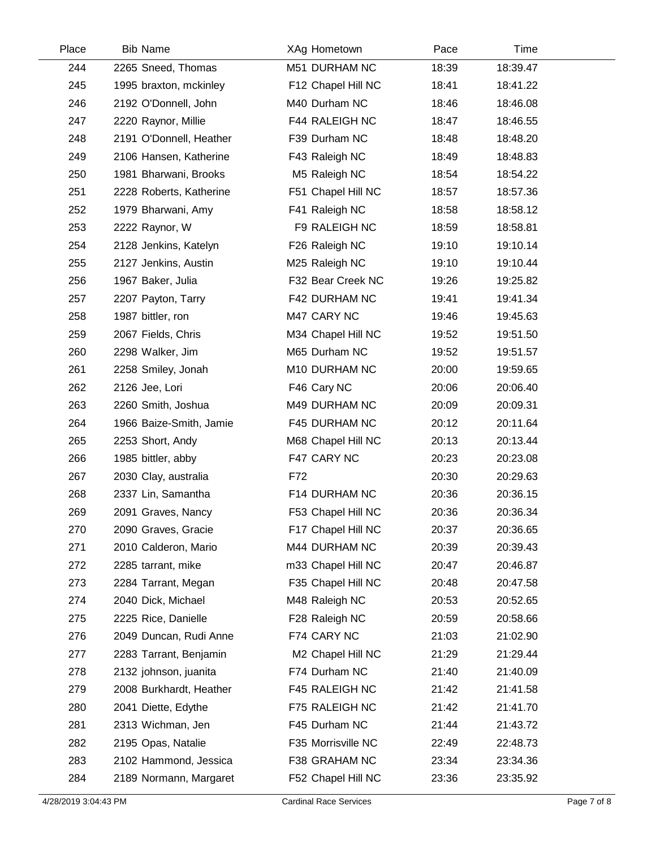| Place | <b>Bib Name</b>         | XAg Hometown       | Pace  | Time     |  |
|-------|-------------------------|--------------------|-------|----------|--|
| 244   | 2265 Sneed, Thomas      | M51 DURHAM NC      | 18:39 | 18:39.47 |  |
| 245   | 1995 braxton, mckinley  | F12 Chapel Hill NC | 18:41 | 18:41.22 |  |
| 246   | 2192 O'Donnell, John    | M40 Durham NC      | 18:46 | 18:46.08 |  |
| 247   | 2220 Raynor, Millie     | F44 RALEIGH NC     | 18:47 | 18:46.55 |  |
| 248   | 2191 O'Donnell, Heather | F39 Durham NC      | 18:48 | 18:48.20 |  |
| 249   | 2106 Hansen, Katherine  | F43 Raleigh NC     | 18:49 | 18:48.83 |  |
| 250   | 1981 Bharwani, Brooks   | M5 Raleigh NC      | 18:54 | 18:54.22 |  |
| 251   | 2228 Roberts, Katherine | F51 Chapel Hill NC | 18:57 | 18:57.36 |  |
| 252   | 1979 Bharwani, Amy      | F41 Raleigh NC     | 18:58 | 18:58.12 |  |
| 253   | 2222 Raynor, W          | F9 RALEIGH NC      | 18:59 | 18:58.81 |  |
| 254   | 2128 Jenkins, Katelyn   | F26 Raleigh NC     | 19:10 | 19:10.14 |  |
| 255   | 2127 Jenkins, Austin    | M25 Raleigh NC     | 19:10 | 19:10.44 |  |
| 256   | 1967 Baker, Julia       | F32 Bear Creek NC  | 19:26 | 19:25.82 |  |
| 257   | 2207 Payton, Tarry      | F42 DURHAM NC      | 19:41 | 19:41.34 |  |
| 258   | 1987 bittler, ron       | M47 CARY NC        | 19:46 | 19:45.63 |  |
| 259   | 2067 Fields, Chris      | M34 Chapel Hill NC | 19:52 | 19:51.50 |  |
| 260   | 2298 Walker, Jim        | M65 Durham NC      | 19:52 | 19:51.57 |  |
| 261   | 2258 Smiley, Jonah      | M10 DURHAM NC      | 20:00 | 19:59.65 |  |
| 262   | 2126 Jee, Lori          | F46 Cary NC        | 20:06 | 20:06.40 |  |
| 263   | 2260 Smith, Joshua      | M49 DURHAM NC      | 20:09 | 20:09.31 |  |
| 264   | 1966 Baize-Smith, Jamie | F45 DURHAM NC      | 20:12 | 20:11.64 |  |
| 265   | 2253 Short, Andy        | M68 Chapel Hill NC | 20:13 | 20:13.44 |  |
| 266   | 1985 bittler, abby      | F47 CARY NC        | 20:23 | 20:23.08 |  |
| 267   | 2030 Clay, australia    | F72                | 20:30 | 20:29.63 |  |
| 268   | 2337 Lin, Samantha      | F14 DURHAM NC      | 20:36 | 20:36.15 |  |
| 269   | 2091 Graves, Nancy      | F53 Chapel Hill NC | 20:36 | 20:36.34 |  |
| 270   | 2090 Graves, Gracie     | F17 Chapel Hill NC | 20:37 | 20:36.65 |  |
| 271   | 2010 Calderon, Mario    | M44 DURHAM NC      | 20:39 | 20:39.43 |  |
| 272   | 2285 tarrant, mike      | m33 Chapel Hill NC | 20:47 | 20:46.87 |  |
| 273   | 2284 Tarrant, Megan     | F35 Chapel Hill NC | 20:48 | 20:47.58 |  |
| 274   | 2040 Dick, Michael      | M48 Raleigh NC     | 20:53 | 20:52.65 |  |
| 275   | 2225 Rice, Danielle     | F28 Raleigh NC     | 20:59 | 20:58.66 |  |
| 276   | 2049 Duncan, Rudi Anne  | F74 CARY NC        | 21:03 | 21:02.90 |  |
| 277   | 2283 Tarrant, Benjamin  | M2 Chapel Hill NC  | 21:29 | 21:29.44 |  |
| 278   | 2132 johnson, juanita   | F74 Durham NC      | 21:40 | 21:40.09 |  |
| 279   | 2008 Burkhardt, Heather | F45 RALEIGH NC     | 21:42 | 21:41.58 |  |
| 280   | 2041 Diette, Edythe     | F75 RALEIGH NC     | 21:42 | 21:41.70 |  |
| 281   | 2313 Wichman, Jen       | F45 Durham NC      | 21:44 | 21:43.72 |  |
| 282   | 2195 Opas, Natalie      | F35 Morrisville NC | 22:49 | 22:48.73 |  |
| 283   | 2102 Hammond, Jessica   | F38 GRAHAM NC      | 23:34 | 23:34.36 |  |
| 284   | 2189 Normann, Margaret  | F52 Chapel Hill NC | 23:36 | 23:35.92 |  |